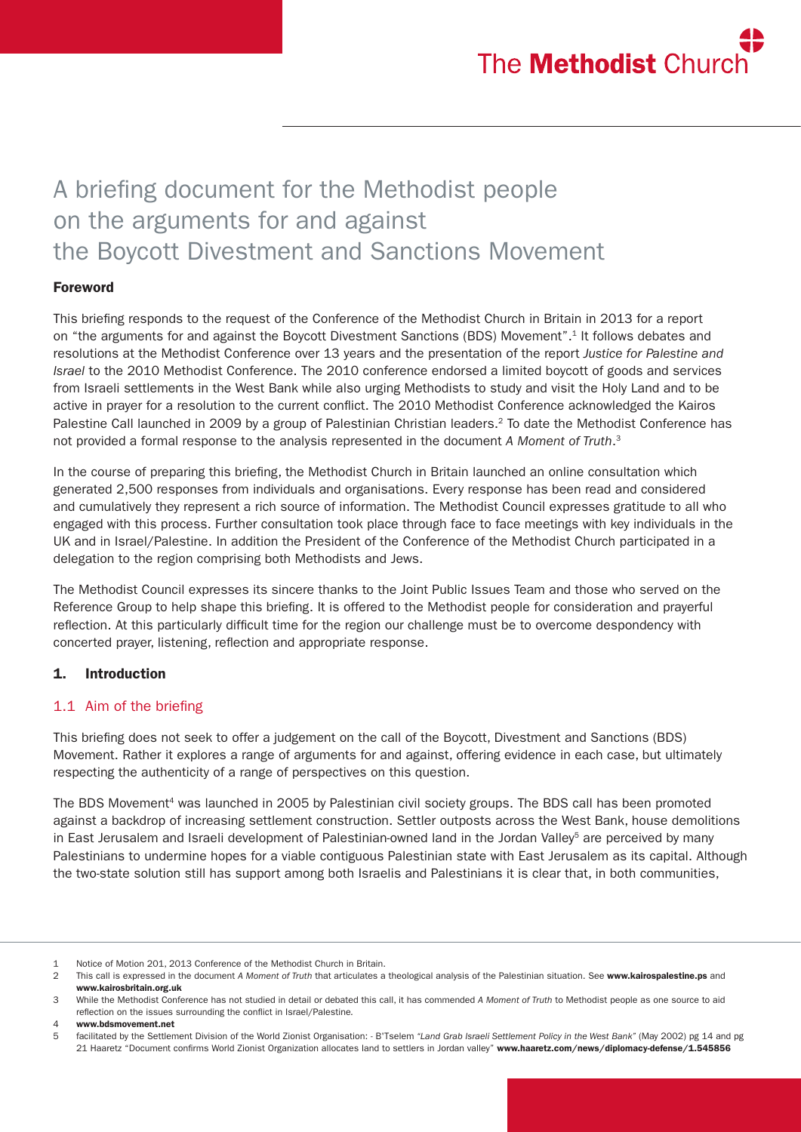# A briefing document for the Methodist people on the arguments for and against the Boycott Divestment and Sanctions Movement

# Foreword

This briefing responds to the request of the Conference of the Methodist Church in Britain in 2013 for a report on "the arguments for and against the Boycott Divestment Sanctions (BDS) Movement".1 It follows debates and resolutions at the Methodist Conference over 13 years and the presentation of the report *Justice for Palestine and Israel* to the 2010 Methodist Conference. The 2010 conference endorsed a limited boycott of goods and services from Israeli settlements in the West Bank while also urging Methodists to study and visit the Holy Land and to be active in prayer for a resolution to the current conflict. The 2010 Methodist Conference acknowledged the Kairos Palestine Call launched in 2009 by a group of Palestinian Christian leaders.<sup>2</sup> To date the Methodist Conference has not provided a formal response to the analysis represented in the document *A Moment of Truth*. 3

In the course of preparing this briefing, the Methodist Church in Britain launched an online consultation which generated 2,500 responses from individuals and organisations. Every response has been read and considered and cumulatively they represent a rich source of information. The Methodist Council expresses gratitude to all who engaged with this process. Further consultation took place through face to face meetings with key individuals in the UK and in Israel/Palestine. In addition the President of the Conference of the Methodist Church participated in a delegation to the region comprising both Methodists and Jews.

The Methodist Council expresses its sincere thanks to the Joint Public Issues Team and those who served on the Reference Group to help shape this briefing. It is offered to the Methodist people for consideration and prayerful reflection. At this particularly difficult time for the region our challenge must be to overcome despondency with concerted prayer, listening, reflection and appropriate response.

# 1. Introduction

# 1.1 Aim of the briefing

This briefing does not seek to offer a judgement on the call of the Boycott, Divestment and Sanctions (BDS) Movement. Rather it explores a range of arguments for and against, offering evidence in each case, but ultimately respecting the authenticity of a range of perspectives on this question.

The BDS Movement<sup>4</sup> was launched in 2005 by Palestinian civil society groups. The BDS call has been promoted against a backdrop of increasing settlement construction. Settler outposts across the West Bank, house demolitions in East Jerusalem and Israeli development of Palestinian-owned land in the Jordan Valley<sup>5</sup> are perceived by many Palestinians to undermine hopes for a viable contiguous Palestinian state with East Jerusalem as its capital. Although the two-state solution still has support among both Israelis and Palestinians it is clear that, in both communities,

4 www.bdsmovement.net

<sup>1</sup> Notice of Motion 201, 2013 Conference of the Methodist Church in Britain.

<sup>2</sup> This call is expressed in the document *A Moment of Truth* that articulates a theological analysis of the Palestinian situation. See www.kairospalestine.ps and www.kairosbritain.org.uk

<sup>3</sup> While the Methodist Conference has not studied in detail or debated this call, it has commended *A Moment of Truth* to Methodist people as one source to aid reflection on the issues surrounding the conflict in Israel/Palestine*.*

<sup>5</sup> facilitated by the Settlement Division of the World Zionist Organisation: - B'Tselem *"Land Grab Israeli Settlement Policy in the West Bank"* (May 2002) pg 14 and pg 21 Haaretz "Document confirms World Zionist Organization allocates land to settlers in Jordan valley" www.haaretz.com/news/diplomacy-defense/1.545856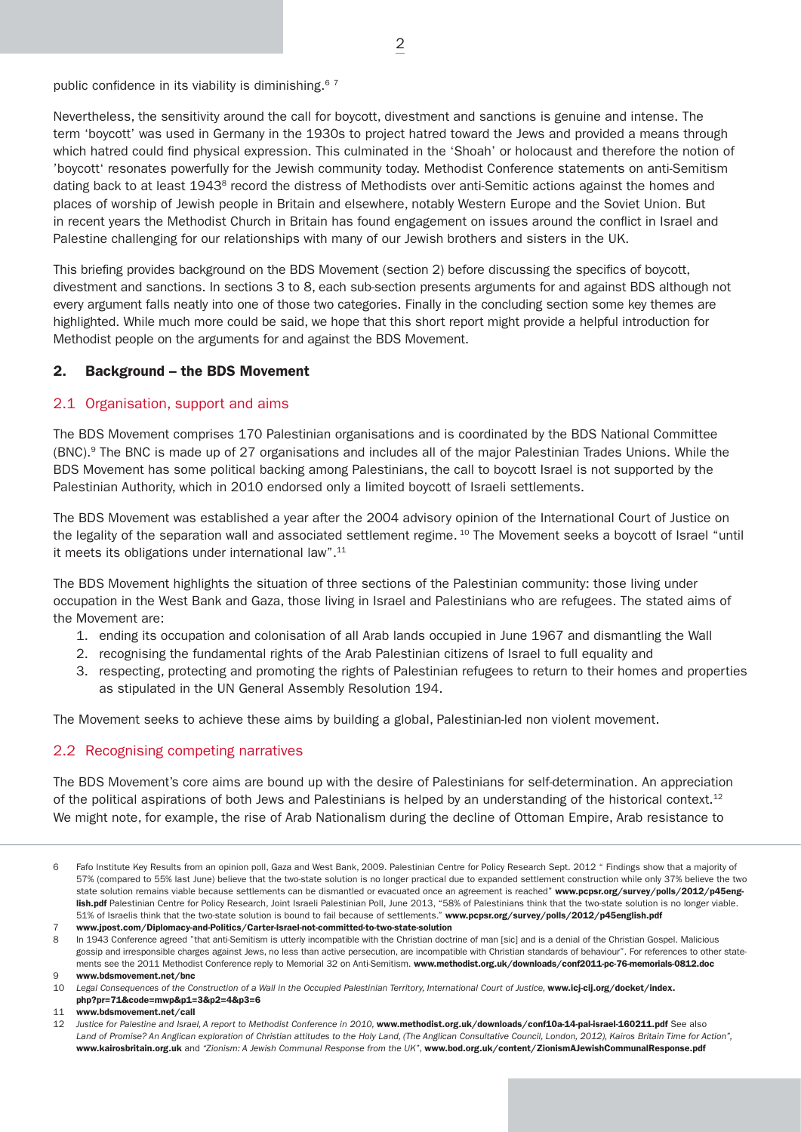public confidence in its viability is diminishing.<sup>67</sup>

Nevertheless, the sensitivity around the call for boycott, divestment and sanctions is genuine and intense. The term 'boycott' was used in Germany in the 1930s to project hatred toward the Jews and provided a means through which hatred could find physical expression. This culminated in the 'Shoah' or holocaust and therefore the notion of 'boycott' resonates powerfully for the Jewish community today. Methodist Conference statements on anti-Semitism dating back to at least 1943<sup>8</sup> record the distress of Methodists over anti-Semitic actions against the homes and places of worship of Jewish people in Britain and elsewhere, notably Western Europe and the Soviet Union. But in recent years the Methodist Church in Britain has found engagement on issues around the conflict in Israel and Palestine challenging for our relationships with many of our Jewish brothers and sisters in the UK.

This briefing provides background on the BDS Movement (section 2) before discussing the specifics of boycott, divestment and sanctions. In sections 3 to 8, each sub-section presents arguments for and against BDS although not every argument falls neatly into one of those two categories. Finally in the concluding section some key themes are highlighted. While much more could be said, we hope that this short report might provide a helpful introduction for Methodist people on the arguments for and against the BDS Movement.

# 2. Background – the BDS Movement

## 2.1 Organisation, support and aims

The BDS Movement comprises 170 Palestinian organisations and is coordinated by the BDS National Committee (BNC).9 The BNC is made up of 27 organisations and includes all of the major Palestinian Trades Unions. While the BDS Movement has some political backing among Palestinians, the call to boycott Israel is not supported by the Palestinian Authority, which in 2010 endorsed only a limited boycott of Israeli settlements.

The BDS Movement was established a year after the 2004 advisory opinion of the International Court of Justice on the legality of the separation wall and associated settlement regime. 10 The Movement seeks a boycott of Israel "until it meets its obligations under international law".<sup>11</sup>

The BDS Movement highlights the situation of three sections of the Palestinian community: those living under occupation in the West Bank and Gaza, those living in Israel and Palestinians who are refugees. The stated aims of the Movement are:

- 1. ending its occupation and colonisation of all Arab lands occupied in June 1967 and dismantling the Wall
- 2. recognising the fundamental rights of the Arab Palestinian citizens of Israel to full equality and
- 3. respecting, protecting and promoting the rights of Palestinian refugees to return to their homes and properties as stipulated in the UN General Assembly Resolution 194.

The Movement seeks to achieve these aims by building a global, Palestinian-led non violent movement.

# 2.2 Recognising competing narratives

The BDS Movement's core aims are bound up with the desire of Palestinians for self-determination. An appreciation of the political aspirations of both Jews and Palestinians is helped by an understanding of the historical context.<sup>12</sup> We might note, for example, the rise of Arab Nationalism during the decline of Ottoman Empire, Arab resistance to

Fafo Institute Key Results from an opinion poll, Gaza and West Bank, 2009. Palestinian Centre for Policy Research Sept. 2012 " Findings show that a majority of 57% (compared to 55% last June) believe that the two-state solution is no longer practical due to expanded settlement construction while only 37% believe the two state solution remains viable because settlements can be dismantled or evacuated once an agreement is reached" www.pcpsr.org/survey/polls/2012/p45english.pdf Palestinian Centre for Policy Research, Joint Israeli Palestinian Poll, June 2013, "58% of Palestinians think that the two-state solution is no longer viable. 51% of Israelis think that the two-state solution is bound to fail because of settlements." www.pcpsr.org/survey/polls/2012/p45english.pdf

<sup>7</sup> www.jpost.com/Diplomacy-and-Politics/Carter-Israel-not-committed-to-two-state-solution

<sup>8</sup> In 1943 Conference agreed "that anti-Semitism is utterly incompatible with the Christian doctrine of man [sic] and is a denial of the Christian Gospel. Malicious gossip and irresponsible charges against Jews, no less than active persecution, are incompatible with Christian standards of behaviour". For references to other statements see the 2011 Methodist Conference reply to Memorial 32 on Anti-Semitism. www.methodist.org.uk/downloads/conf2011-pc-76-memorials-0812.doc 9 www.bdsmovement.net/bnc

<sup>10</sup> Legal Consequences of the Construction of a Wall in the Occupied Palestinian Territory, International Court of Justice, www.icj-cij.org/docket/index. php?pr=71&code=mwp&p1=3&p2=4&p3=6

<sup>11</sup> www.bdsmovement.net/call

<sup>12</sup> Justice for Palestine and Israel, A report to Methodist Conference in 2010, www.methodist.org.uk/downloads/conf10a-14-pal-israel-160211.pdf See also *Land of Promise? An Anglican exploration of Christian attitudes to the Holy Land, (The Anglican Consultative Council, London, 2012), Kairos Britain Time for Action",*  www.kairosbritain.org.uk and *"Zionism: A Jewish Communal Response from the UK"*, www.bod.org.uk/content/ZionismAJewishCommunalResponse.pdf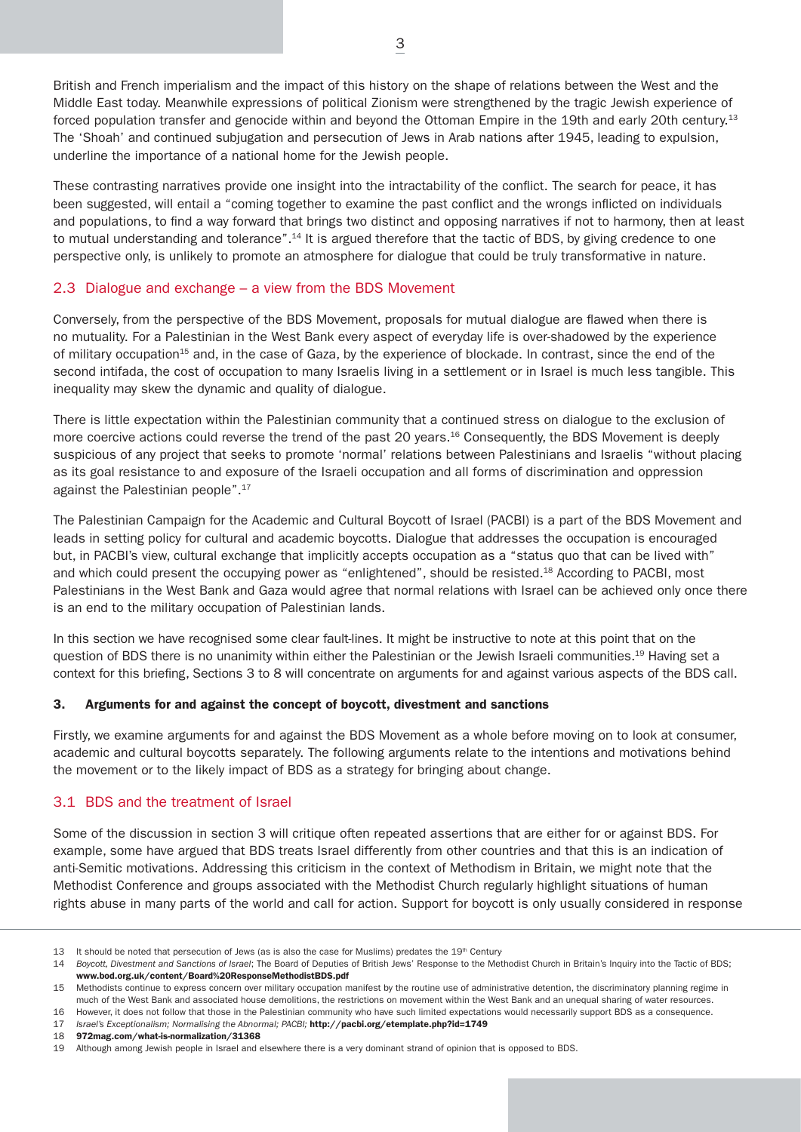British and French imperialism and the impact of this history on the shape of relations between the West and the Middle East today. Meanwhile expressions of political Zionism were strengthened by the tragic Jewish experience of forced population transfer and genocide within and beyond the Ottoman Empire in the 19th and early 20th century.13 The 'Shoah' and continued subjugation and persecution of Jews in Arab nations after 1945, leading to expulsion, underline the importance of a national home for the Jewish people.

These contrasting narratives provide one insight into the intractability of the conflict. The search for peace, it has been suggested, will entail a "coming together to examine the past conflict and the wrongs inflicted on individuals and populations, to find a way forward that brings two distinct and opposing narratives if not to harmony, then at least to mutual understanding and tolerance".<sup>14</sup> It is argued therefore that the tactic of BDS, by giving credence to one perspective only, is unlikely to promote an atmosphere for dialogue that could be truly transformative in nature.

# 2.3 Dialogue and exchange – a view from the BDS Movement

Conversely, from the perspective of the BDS Movement, proposals for mutual dialogue are flawed when there is no mutuality. For a Palestinian in the West Bank every aspect of everyday life is over-shadowed by the experience of military occupation<sup>15</sup> and, in the case of Gaza, by the experience of blockade. In contrast, since the end of the second intifada, the cost of occupation to many Israelis living in a settlement or in Israel is much less tangible. This inequality may skew the dynamic and quality of dialogue.

There is little expectation within the Palestinian community that a continued stress on dialogue to the exclusion of more coercive actions could reverse the trend of the past 20 years.<sup>16</sup> Consequently, the BDS Movement is deeply suspicious of any project that seeks to promote 'normal' relations between Palestinians and Israelis "without placing as its goal resistance to and exposure of the Israeli occupation and all forms of discrimination and oppression against the Palestinian people".17

The Palestinian Campaign for the Academic and Cultural Boycott of Israel (PACBI) is a part of the BDS Movement and leads in setting policy for cultural and academic boycotts. Dialogue that addresses the occupation is encouraged but, in PACBI's view, cultural exchange that implicitly accepts occupation as a "status quo that can be lived with" and which could present the occupying power as "enlightened", should be resisted.18 According to PACBI, most Palestinians in the West Bank and Gaza would agree that normal relations with Israel can be achieved only once there is an end to the military occupation of Palestinian lands.

In this section we have recognised some clear fault-lines. It might be instructive to note at this point that on the question of BDS there is no unanimity within either the Palestinian or the Jewish Israeli communities.19 Having set a context for this briefing, Sections 3 to 8 will concentrate on arguments for and against various aspects of the BDS call.

#### 3. Arguments for and against the concept of boycott, divestment and sanctions

Firstly, we examine arguments for and against the BDS Movement as a whole before moving on to look at consumer, academic and cultural boycotts separately. The following arguments relate to the intentions and motivations behind the movement or to the likely impact of BDS as a strategy for bringing about change.

#### 3.1 BDS and the treatment of Israel

Some of the discussion in section 3 will critique often repeated assertions that are either for or against BDS. For example, some have argued that BDS treats Israel differently from other countries and that this is an indication of anti-Semitic motivations. Addressing this criticism in the context of Methodism in Britain, we might note that the Methodist Conference and groups associated with the Methodist Church regularly highlight situations of human rights abuse in many parts of the world and call for action. Support for boycott is only usually considered in response

<sup>13</sup> It should be noted that persecution of Jews (as is also the case for Muslims) predates the 19<sup>th</sup> Century.

<sup>14</sup> *Boycott, Divestment and Sanctions of Israel*; The Board of Deputies of British Jews' Response to the Methodist Church in Britain's Inquiry into the Tactic of BDS; www.bod.org.uk/content/Board%20ResponseMethodistBDS.pdf

<sup>15</sup> Methodists continue to express concern over military occupation manifest by the routine use of administrative detention, the discriminatory planning regime in much of the West Bank and associated house demolitions, the restrictions on movement within the West Bank and an unequal sharing of water resources. 16 However, it does not follow that those in the Palestinian community who have such limited expectations would necessarily support BDS as a consequence.

<sup>17</sup> *Israel's Exceptionalism; Normalising the Abnormal; PACBI;* http://pacbi.org/etemplate.php?id=1749

<sup>18</sup> 972mag.com/what-is-normalization/31368

<sup>19</sup> Although among Jewish people in Israel and elsewhere there is a very dominant strand of opinion that is opposed to BDS.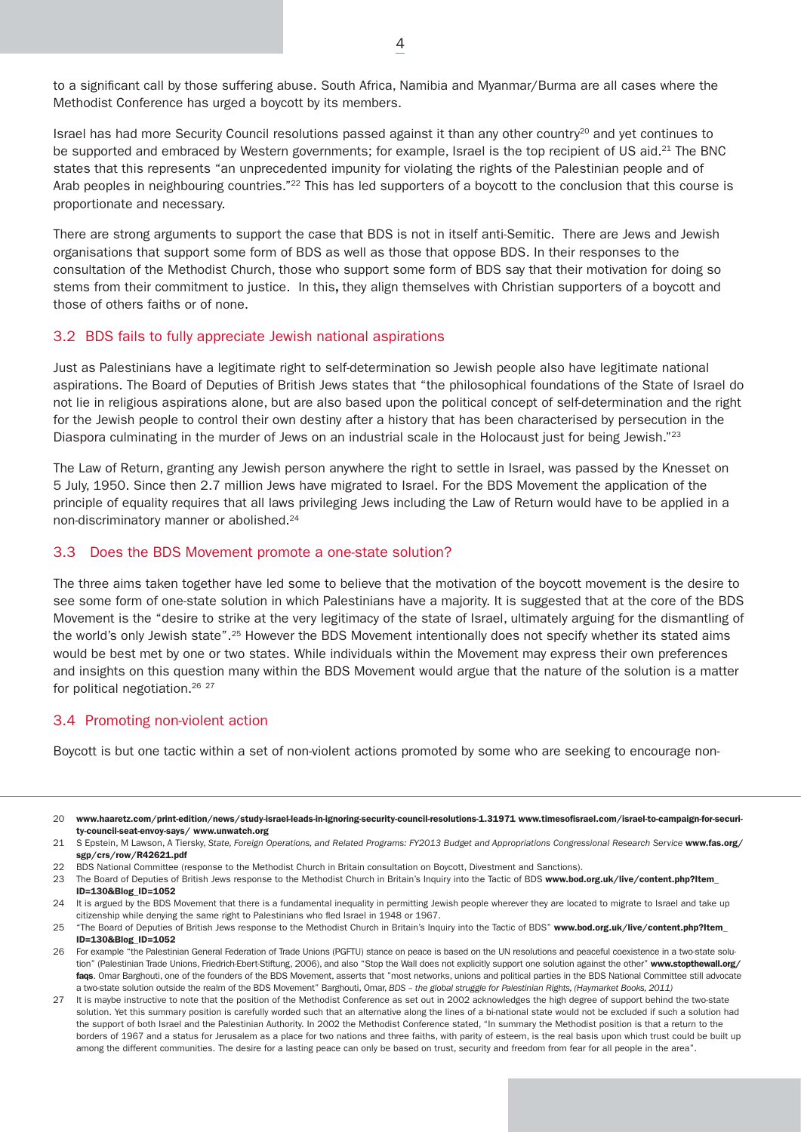to a significant call by those suffering abuse. South Africa, Namibia and Myanmar/Burma are all cases where the Methodist Conference has urged a boycott by its members.

Israel has had more Security Council resolutions passed against it than any other country<sup>20</sup> and yet continues to be supported and embraced by Western governments; for example, Israel is the top recipient of US aid.<sup>21</sup> The BNC states that this represents "an unprecedented impunity for violating the rights of the Palestinian people and of Arab peoples in neighbouring countries."<sup>22</sup> This has led supporters of a boycott to the conclusion that this course is proportionate and necessary.

There are strong arguments to support the case that BDS is not in itself anti-Semitic. There are Jews and Jewish organisations that support some form of BDS as well as those that oppose BDS. In their responses to the consultation of the Methodist Church, those who support some form of BDS say that their motivation for doing so stems from their commitment to justice. In this, they align themselves with Christian supporters of a boycott and those of others faiths or of none.

#### 3.2 BDS fails to fully appreciate Jewish national aspirations

Just as Palestinians have a legitimate right to self-determination so Jewish people also have legitimate national aspirations. The Board of Deputies of British Jews states that "the philosophical foundations of the State of Israel do not lie in religious aspirations alone, but are also based upon the political concept of self-determination and the right for the Jewish people to control their own destiny after a history that has been characterised by persecution in the Diaspora culminating in the murder of Jews on an industrial scale in the Holocaust just for being Jewish."<sup>23</sup>

The Law of Return, granting any Jewish person anywhere the right to settle in Israel, was passed by the Knesset on 5 July, 1950. Since then 2.7 million Jews have migrated to Israel. For the BDS Movement the application of the principle of equality requires that all laws privileging Jews including the Law of Return would have to be applied in a non-discriminatory manner or abolished.24

#### 3.3 Does the BDS Movement promote a one-state solution?

The three aims taken together have led some to believe that the motivation of the boycott movement is the desire to see some form of one-state solution in which Palestinians have a majority. It is suggested that at the core of the BDS Movement is the "desire to strike at the very legitimacy of the state of Israel, ultimately arguing for the dismantling of the world's only Jewish state".25 However the BDS Movement intentionally does not specify whether its stated aims would be best met by one or two states. While individuals within the Movement may express their own preferences and insights on this question many within the BDS Movement would argue that the nature of the solution is a matter for political negotiation.<sup>26</sup> <sup>27</sup>

# 3.4 Promoting non-violent action

Boycott is but one tactic within a set of non-violent actions promoted by some who are seeking to encourage non-

22 BDS National Committee (response to the Methodist Church in Britain consultation on Boycott, Divestment and Sanctions).

23 The Board of Deputies of British Jews response to the Methodist Church in Britain's Inquiry into the Tactic of BDS www.bod.org.uk/live/content.php?Item ID=130&Blog\_ID=1052

24 It is argued by the BDS Movement that there is a fundamental inequality in permitting Jewish people wherever they are located to migrate to Israel and take up citizenship while denying the same right to Palestinians who fled Israel in 1948 or 1967.

<sup>20</sup> www.haaretz.com/print-edition/news/study-israel-leads-in-ignoring-security-council-resolutions-1.31971 www.timesofisrael.com/israel-to-campaign-for-security-council-seat-envoy-says/ www.unwatch.org

<sup>21</sup> S Epstein, M Lawson, A Tiersky, State, Foreign Operations, and Related Programs: FY2013 Budget and Appropriations Congressional Research Service www.fas.org/ sgp/crs/row/R42621.pdf

<sup>25 &</sup>quot;The Board of Deputies of British Jews response to the Methodist Church in Britain's Inquiry into the Tactic of BDS" www.bod.org.uk/live/content.php?Item\_ ID=130&Blog\_ID=1052

<sup>26</sup> For example "the Palestinian General Federation of Trade Unions (PGFTU) stance on peace is based on the UN resolutions and peaceful coexistence in a two-state solution" (Palestinian Trade Unions, Friedrich-Ebert-Stiftung, 2006), and also "Stop the Wall does not explicitly support one solution against the other" www.stopthewall.org/ faqs. Omar Barghouti, one of the founders of the BDS Movement, asserts that "most networks, unions and political parties in the BDS National Committee still advocate a two-state solution outside the realm of the BDS Movement" Barghouti, Omar, *BDS – the global struggle for Palestinian Rights, (Haymarket Books, 2011)*

<sup>27</sup> It is maybe instructive to note that the position of the Methodist Conference as set out in 2002 acknowledges the high degree of support behind the two-state solution. Yet this summary position is carefully worded such that an alternative along the lines of a bi-national state would not be excluded if such a solution had the support of both Israel and the Palestinian Authority. In 2002 the Methodist Conference stated, "In summary the Methodist position is that a return to the borders of 1967 and a status for Jerusalem as a place for two nations and three faiths, with parity of esteem, is the real basis upon which trust could be built up among the different communities. The desire for a lasting peace can only be based on trust, security and freedom from fear for all people in the area".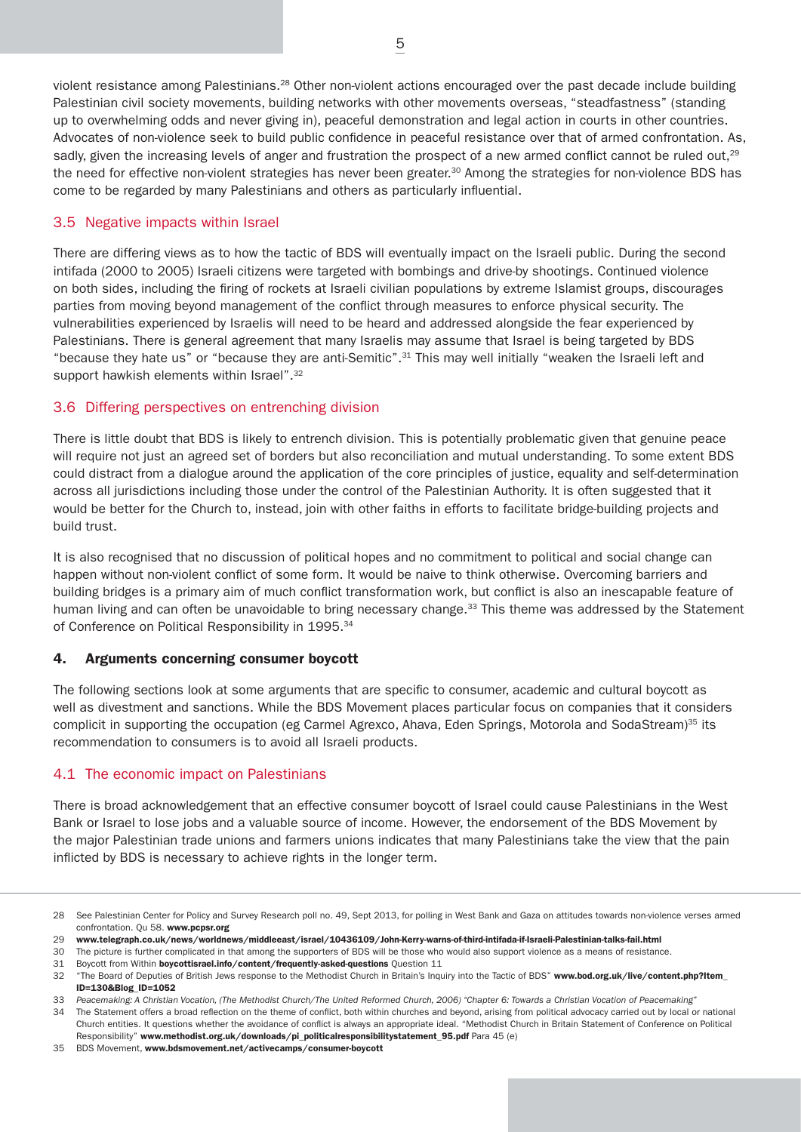violent resistance among Palestinians.28 Other non-violent actions encouraged over the past decade include building Palestinian civil society movements, building networks with other movements overseas, "steadfastness" (standing up to overwhelming odds and never giving in), peaceful demonstration and legal action in courts in other countries. Advocates of non-violence seek to build public confidence in peaceful resistance over that of armed confrontation. As, sadly, given the increasing levels of anger and frustration the prospect of a new armed conflict cannot be ruled out,<sup>29</sup> the need for effective non-violent strategies has never been greater.<sup>30</sup> Among the strategies for non-violence BDS has come to be regarded by many Palestinians and others as particularly influential.

# 3.5 Negative impacts within Israel

There are differing views as to how the tactic of BDS will eventually impact on the Israeli public. During the second intifada (2000 to 2005) Israeli citizens were targeted with bombings and drive-by shootings. Continued violence on both sides, including the firing of rockets at Israeli civilian populations by extreme Islamist groups, discourages parties from moving beyond management of the conflict through measures to enforce physical security. The vulnerabilities experienced by Israelis will need to be heard and addressed alongside the fear experienced by Palestinians. There is general agreement that many Israelis may assume that Israel is being targeted by BDS "because they hate us" or "because they are anti-Semitic".31 This may well initially "weaken the Israeli left and support hawkish elements within Israel".<sup>32</sup>

# 3.6 Differing perspectives on entrenching division

There is little doubt that BDS is likely to entrench division. This is potentially problematic given that genuine peace will require not just an agreed set of borders but also reconciliation and mutual understanding. To some extent BDS could distract from a dialogue around the application of the core principles of justice, equality and self-determination across all jurisdictions including those under the control of the Palestinian Authority. It is often suggested that it would be better for the Church to, instead, join with other faiths in efforts to facilitate bridge-building projects and build trust.

It is also recognised that no discussion of political hopes and no commitment to political and social change can happen without non-violent conflict of some form. It would be naive to think otherwise. Overcoming barriers and building bridges is a primary aim of much conflict transformation work, but conflict is also an inescapable feature of human living and can often be unavoidable to bring necessary change.<sup>33</sup> This theme was addressed by the Statement of Conference on Political Responsibility in 1995.<sup>34</sup>

# 4. Arguments concerning consumer boycott

The following sections look at some arguments that are specific to consumer, academic and cultural boycott as well as divestment and sanctions. While the BDS Movement places particular focus on companies that it considers complicit in supporting the occupation (eg Carmel Agrexco, Ahava, Eden Springs, Motorola and SodaStream)<sup>35</sup> its recommendation to consumers is to avoid all Israeli products.

# 4.1 The economic impact on Palestinians

There is broad acknowledgement that an effective consumer boycott of Israel could cause Palestinians in the West Bank or Israel to lose jobs and a valuable source of income. However, the endorsement of the BDS Movement by the major Palestinian trade unions and farmers unions indicates that many Palestinians take the view that the pain inflicted by BDS is necessary to achieve rights in the longer term.

<sup>28</sup> See Palestinian Center for Policy and Survey Research poll no. 49, Sept 2013, for polling in West Bank and Gaza on attitudes towards non-violence verses armed confrontation. Qu 58. www.pcpsr.org

<sup>29</sup> www.telegraph.co.uk/news/worldnews/middleeast/israel/10436109/John-Kerry-warns-of-third-intifada-if-Israeli-Palestinian-talks-fail.html

<sup>30</sup> The picture is further complicated in that among the supporters of BDS will be those who would also support violence as a means of resistance.

<sup>31</sup> Boycott from Within boycottisrael.info/content/frequently-asked-questions Question 11

<sup>32 &</sup>quot;The Board of Deputies of British Jews response to the Methodist Church in Britain's Inquiry into the Tactic of BDS" www.bod.org.uk/live/content.php?Item\_ ID=130&Blog\_ID=1052

<sup>33</sup> *Peacemaking: A Christian Vocation, (The Methodist Church/The United Reformed Church, 2006) "Chapter 6: Towards a Christian Vocation of Peacemaking"*

<sup>34</sup> The Statement offers a broad reflection on the theme of conflict, both within churches and beyond, arising from political advocacy carried out by local or national Church entities. It questions whether the avoidance of conflict is always an appropriate ideal. "Methodist Church in Britain Statement of Conference on Political Responsibility" www.methodist.org.uk/downloads/pi\_politicalresponsibilitystatement\_95.pdf Para 45 (e)

<sup>35</sup> BDS Movement, www.bdsmovement.net/activecamps/consumer-boycott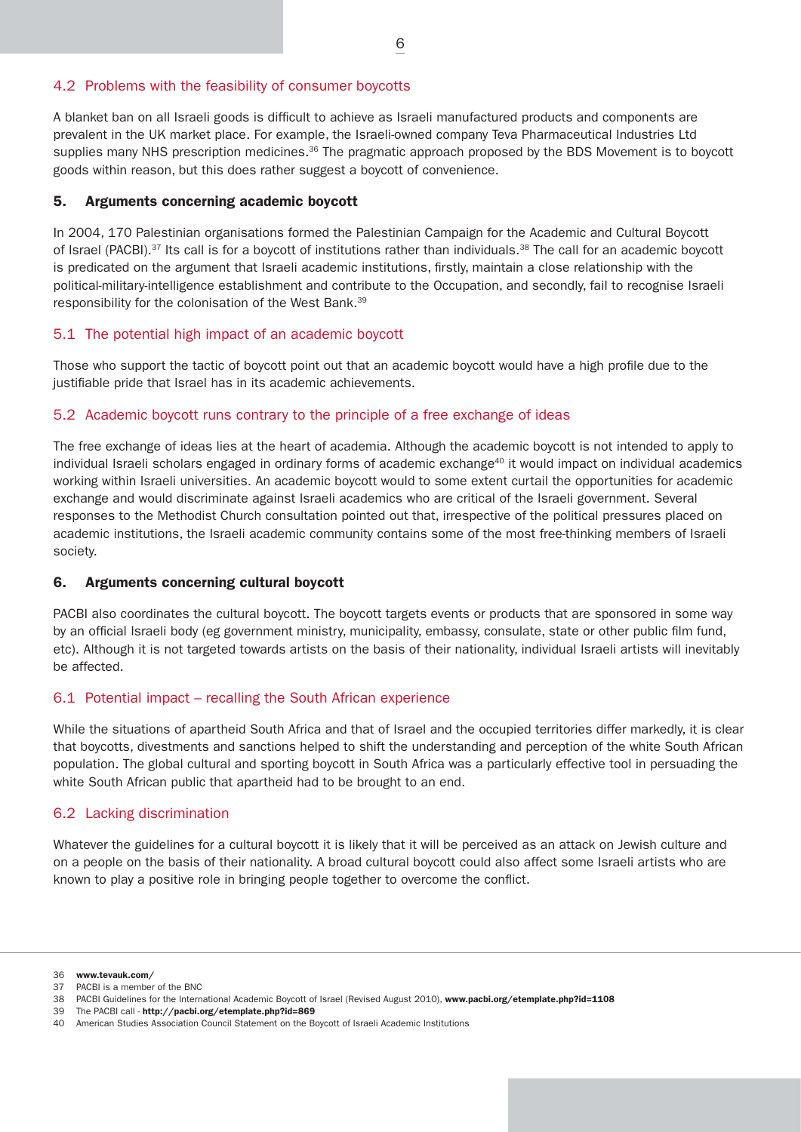# 4.2 Problems with the feasibility of consumer boycotts

A blanket ban on all Israeli goods is difficult to achieve as Israeli manufactured products and components are prevalent in the UK market place. For example, the Israeli-owned company Teva Pharmaceutical Industries Ltd supplies many NHS prescription medicines.<sup>36</sup> The pragmatic approach proposed by the BDS Movement is to boycott goods within reason, but this does rather suggest a boycott of convenience.

# 5. Arguments concerning academic boycott

In 2004, 170 Palestinian organisations formed the Palestinian Campaign for the Academic and Cultural Boycott of Israel (PACBI).<sup>37</sup> Its call is for a boycott of institutions rather than individuals.<sup>38</sup> The call for an academic boycott is predicated on the argument that Israeli academic institutions, firstly, maintain a close relationship with the political-military-intelligence establishment and contribute to the Occupation, and secondly, fail to recognise Israeli responsibility for the colonisation of the West Bank.39

# 5.1 The potential high impact of an academic boycott

Those who support the tactic of boycott point out that an academic boycott would have a high profile due to the justifiable pride that Israel has in its academic achievements.

# 5.2 Academic boycott runs contrary to the principle of a free exchange of ideas

The free exchange of ideas lies at the heart of academia. Although the academic boycott is not intended to apply to individual Israeli scholars engaged in ordinary forms of academic exchange<sup>40</sup> it would impact on individual academics working within Israeli universities. An academic boycott would to some extent curtail the opportunities for academic exchange and would discriminate against Israeli academics who are critical of the Israeli government. Several responses to the Methodist Church consultation pointed out that, irrespective of the political pressures placed on academic institutions, the Israeli academic community contains some of the most free-thinking members of Israeli society.

# 6. Arguments concerning cultural boycott

PACBI also coordinates the cultural boycott. The boycott targets events or products that are sponsored in some way by an official Israeli body (eg government ministry, municipality, embassy, consulate, state or other public film fund, etc). Although it is not targeted towards artists on the basis of their nationality, individual Israeli artists will inevitably be affected.

# 6.1 Potential impact – recalling the South African experience

While the situations of apartheid South Africa and that of Israel and the occupied territories differ markedly, it is clear that boycotts, divestments and sanctions helped to shift the understanding and perception of the white South African population. The global cultural and sporting boycott in South Africa was a particularly effective tool in persuading the white South African public that apartheid had to be brought to an end.

# 6.2 Lacking discrimination

Whatever the guidelines for a cultural boycott it is likely that it will be perceived as an attack on Jewish culture and on a people on the basis of their nationality. A broad cultural boycott could also affect some Israeli artists who are known to play a positive role in bringing people together to overcome the conflict.

39 The PACBI call - http://pacbi.org/etemplate.php?id=869

<sup>36</sup> www.tevauk.com/

<sup>37</sup> PACBI is a member of the BNC

<sup>38</sup> PACBI Guidelines for the International Academic Boycott of Israel (Revised August 2010), www.pacbi.org/etemplate.php?id=1108

<sup>40</sup> American Studies Association Council Statement on the Boycott of Israeli Academic Institutions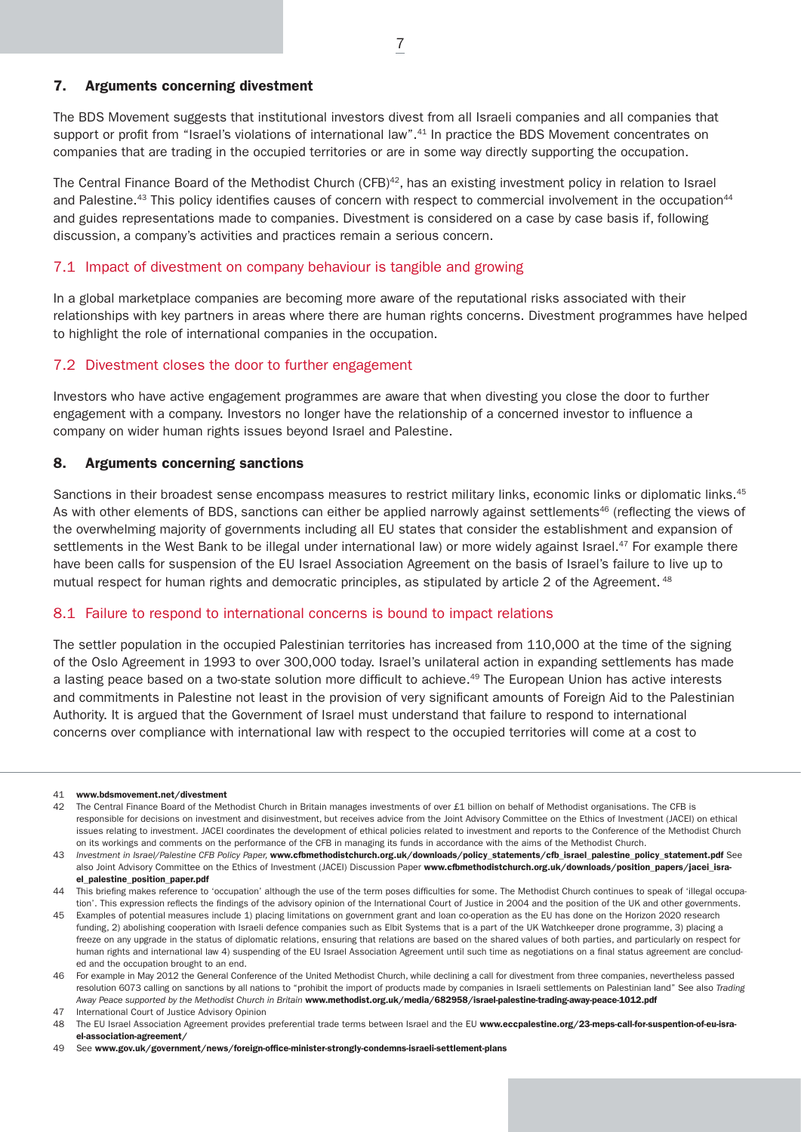#### 7. Arguments concerning divestment

The BDS Movement suggests that institutional investors divest from all Israeli companies and all companies that support or profit from "Israel's violations of international law".<sup>41</sup> In practice the BDS Movement concentrates on companies that are trading in the occupied territories or are in some way directly supporting the occupation.

The Central Finance Board of the Methodist Church (CFB)<sup>42</sup>, has an existing investment policy in relation to Israel and Palestine.<sup>43</sup> This policy identifies causes of concern with respect to commercial involvement in the occupation<sup>44</sup> and guides representations made to companies. Divestment is considered on a case by case basis if, following discussion, a company's activities and practices remain a serious concern.

## 7.1 Impact of divestment on company behaviour is tangible and growing

In a global marketplace companies are becoming more aware of the reputational risks associated with their relationships with key partners in areas where there are human rights concerns. Divestment programmes have helped to highlight the role of international companies in the occupation.

## 7.2 Divestment closes the door to further engagement

Investors who have active engagement programmes are aware that when divesting you close the door to further engagement with a company. Investors no longer have the relationship of a concerned investor to influence a company on wider human rights issues beyond Israel and Palestine.

## 8. Arguments concerning sanctions

Sanctions in their broadest sense encompass measures to restrict military links, economic links or diplomatic links.<sup>45</sup> As with other elements of BDS, sanctions can either be applied narrowly against settlements<sup>46</sup> (reflecting the views of the overwhelming majority of governments including all EU states that consider the establishment and expansion of settlements in the West Bank to be illegal under international law) or more widely against Israel.<sup>47</sup> For example there have been calls for suspension of the EU Israel Association Agreement on the basis of Israel's failure to live up to mutual respect for human rights and democratic principles, as stipulated by article 2 of the Agreement. <sup>48</sup>

#### 8.1 Failure to respond to international concerns is bound to impact relations

The settler population in the occupied Palestinian territories has increased from 110,000 at the time of the signing of the Oslo Agreement in 1993 to over 300,000 today. Israel's unilateral action in expanding settlements has made a lasting peace based on a two-state solution more difficult to achieve.<sup>49</sup> The European Union has active interests and commitments in Palestine not least in the provision of very significant amounts of Foreign Aid to the Palestinian Authority. It is argued that the Government of Israel must understand that failure to respond to international concerns over compliance with international law with respect to the occupied territories will come at a cost to

#### 41 www.bdsmovement.net/divestment

42 The Central Finance Board of the Methodist Church in Britain manages investments of over £1 billion on behalf of Methodist organisations. The CFB is responsible for decisions on investment and disinvestment, but receives advice from the Joint Advisory Committee on the Ethics of Investment (JACEI) on ethical issues relating to investment. JACEI coordinates the development of ethical policies related to investment and reports to the Conference of the Methodist Church on its workings and comments on the performance of the CFB in managing its funds in accordance with the aims of the Methodist Church.

<sup>43</sup> *Investment in Israel/Palestine CFB Policy Paper,* www.cfbmethodistchurch.org.uk/downloads/policy\_statements/cfb\_israel\_palestine\_policy\_statement.pdf See also Joint Advisory Committee on the Ethics of Investment (JACEI) Discussion Paper www.cfbmethodistchurch.org.uk/downloads/position\_papers/jacei\_israel\_palestine\_position\_paper.pdf

<sup>44</sup> This briefing makes reference to 'occupation' although the use of the term poses difficulties for some. The Methodist Church continues to speak of 'illegal occupation'. This expression reflects the findings of the advisory opinion of the International Court of Justice in 2004 and the position of the UK and other governments.

<sup>45</sup> Examples of potential measures include 1) placing limitations on government grant and loan co-operation as the EU has done on the Horizon 2020 research funding, 2) abolishing cooperation with Israeli defence companies such as Elbit Systems that is a part of the UK Watchkeeper drone programme, 3) placing a freeze on any upgrade in the status of diplomatic relations, ensuring that relations are based on the shared values of both parties, and particularly on respect for human rights and international law 4) suspending of the EU Israel Association Agreement until such time as negotiations on a final status agreement are concluded and the occupation brought to an end.

<sup>46</sup> For example in May 2012 the General Conference of the United Methodist Church, while declining a call for divestment from three companies, nevertheless passed resolution 6073 calling on sanctions by all nations to "prohibit the import of products made by companies in Israeli settlements on Palestinian land" See also *Trading Away Peace supported by the Methodist Church in Britain* www.methodist.org.uk/media/682958/israel-palestine-trading-away-peace-1012.pdf

<sup>47</sup> International Court of Justice Advisory Opinion

<sup>48</sup> The EU Israel Association Agreement provides preferential trade terms between Israel and the EU www.eccpalestine.org/23-meps-call-for-suspention-of-eu-israel-association-agreement/

<sup>49</sup> See www.gov.uk/government/news/foreign-office-minister-strongly-condemns-israeli-settlement-plans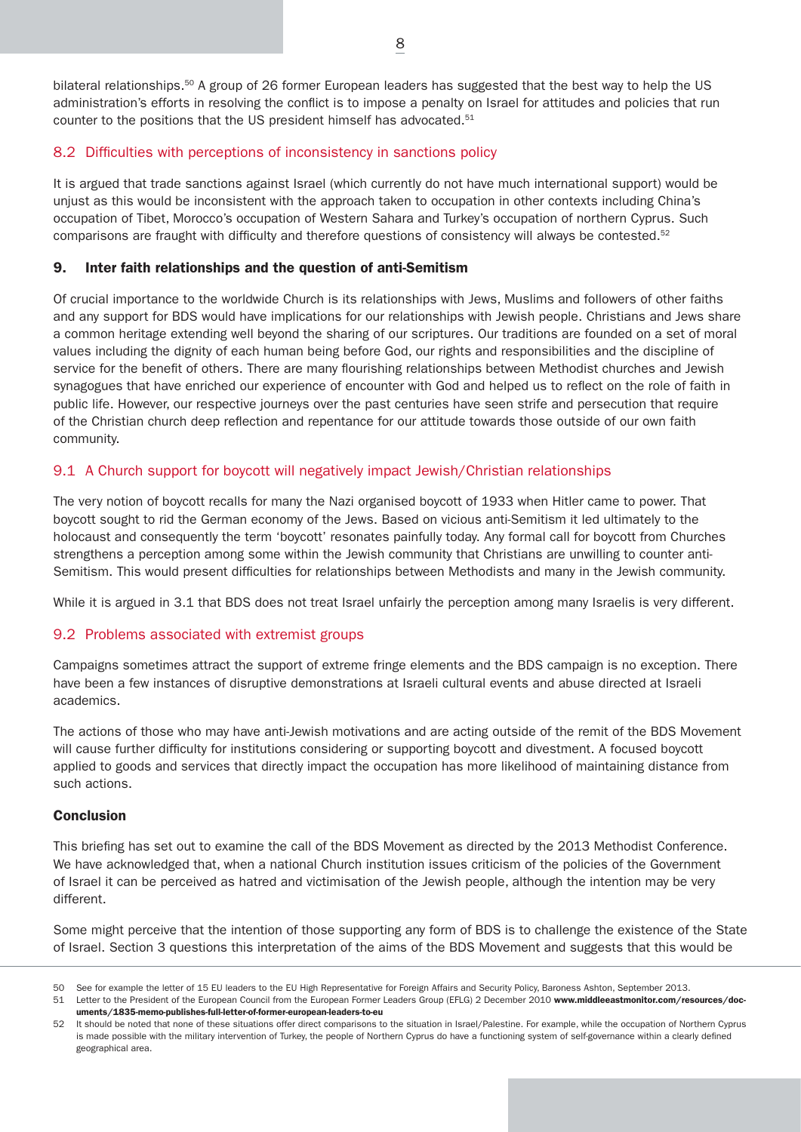bilateral relationships.<sup>50</sup> A group of 26 former European leaders has suggested that the best way to help the US administration's efforts in resolving the conflict is to impose a penalty on Israel for attitudes and policies that run counter to the positions that the US president himself has advocated.<sup>51</sup>

# 8.2 Difficulties with perceptions of inconsistency in sanctions policy

It is argued that trade sanctions against Israel (which currently do not have much international support) would be unjust as this would be inconsistent with the approach taken to occupation in other contexts including China's occupation of Tibet, Morocco's occupation of Western Sahara and Turkey's occupation of northern Cyprus. Such comparisons are fraught with difficulty and therefore questions of consistency will always be contested.<sup>52</sup>

# 9. Inter faith relationships and the question of anti-Semitism

Of crucial importance to the worldwide Church is its relationships with Jews, Muslims and followers of other faiths and any support for BDS would have implications for our relationships with Jewish people. Christians and Jews share a common heritage extending well beyond the sharing of our scriptures. Our traditions are founded on a set of moral values including the dignity of each human being before God, our rights and responsibilities and the discipline of service for the benefit of others. There are many flourishing relationships between Methodist churches and Jewish synagogues that have enriched our experience of encounter with God and helped us to reflect on the role of faith in public life. However, our respective journeys over the past centuries have seen strife and persecution that require of the Christian church deep reflection and repentance for our attitude towards those outside of our own faith community.

# 9.1 A Church support for boycott will negatively impact Jewish/Christian relationships

The very notion of boycott recalls for many the Nazi organised boycott of 1933 when Hitler came to power. That boycott sought to rid the German economy of the Jews. Based on vicious anti-Semitism it led ultimately to the holocaust and consequently the term 'boycott' resonates painfully today. Any formal call for boycott from Churches strengthens a perception among some within the Jewish community that Christians are unwilling to counter anti-Semitism. This would present difficulties for relationships between Methodists and many in the Jewish community.

While it is argued in 3.1 that BDS does not treat Israel unfairly the perception among many Israelis is very different.

# 9.2 Problems associated with extremist groups

Campaigns sometimes attract the support of extreme fringe elements and the BDS campaign is no exception. There have been a few instances of disruptive demonstrations at Israeli cultural events and abuse directed at Israeli academics.

The actions of those who may have anti-Jewish motivations and are acting outside of the remit of the BDS Movement will cause further difficulty for institutions considering or supporting boycott and divestment. A focused boycott applied to goods and services that directly impact the occupation has more likelihood of maintaining distance from such actions.

## **Conclusion**

This briefing has set out to examine the call of the BDS Movement as directed by the 2013 Methodist Conference. We have acknowledged that, when a national Church institution issues criticism of the policies of the Government of Israel it can be perceived as hatred and victimisation of the Jewish people, although the intention may be very different.

Some might perceive that the intention of those supporting any form of BDS is to challenge the existence of the State of Israel. Section 3 questions this interpretation of the aims of the BDS Movement and suggests that this would be

<sup>50</sup> See for example the letter of 15 EU leaders to the EU High Representative for Foreign Affairs and Security Policy, Baroness Ashton, September 2013.

<sup>51</sup> Letter to the President of the European Council from the European Former Leaders Group (EFLG) 2 December 2010 www.middleeastmonitor.com/resources/documents/1835-memo-publishes-full-letter-of-former-european-leaders-to-eu

<sup>52</sup> It should be noted that none of these situations offer direct comparisons to the situation in Israel/Palestine. For example, while the occupation of Northern Cyprus is made possible with the military intervention of Turkey, the people of Northern Cyprus do have a functioning system of self-governance within a clearly defined geographical area.